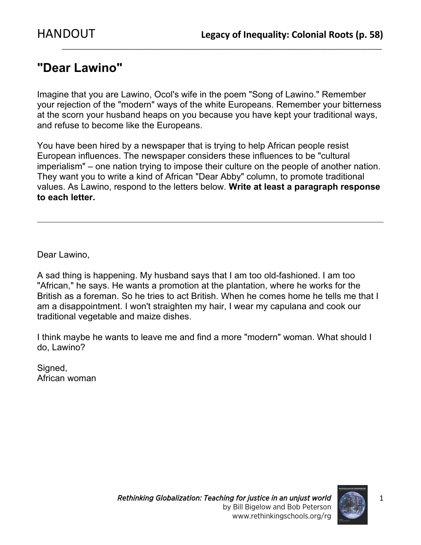## **"Dear Lawino"**

Imagine that you are Lawino, Ocol's wife in the poem "Song of Lawino." Remember your rejection of the "modern" ways of the white Europeans. Remember your bitterness at the scorn your husband heaps on you because you have kept your traditional ways, and refuse to become like the Europeans.

 $\_$  ,  $\_$  ,  $\_$  ,  $\_$  ,  $\_$  ,  $\_$  ,  $\_$  ,  $\_$  ,  $\_$  ,  $\_$  ,  $\_$  ,  $\_$  ,  $\_$  ,  $\_$  ,  $\_$  ,  $\_$  ,  $\_$  ,  $\_$  ,  $\_$  ,  $\_$  ,  $\_$  ,  $\_$  ,  $\_$  ,  $\_$  ,  $\_$  ,  $\_$  ,  $\_$  ,  $\_$  ,  $\_$  ,  $\_$  ,  $\_$  ,  $\_$  ,  $\_$  ,  $\_$  ,  $\_$  ,  $\_$  ,  $\_$  ,

You have been hired by a newspaper that is trying to help African people resist European influences. The newspaper considers these influences to be "cultural imperialism" – one nation trying to impose their culture on the people of another nation. They want you to write a kind of African "Dear Abby" column, to promote traditional values. As Lawino, respond to the letters below. **Write at least a paragraph response to each letter.**

Dear Lawino,

A sad thing is happening. My husband says that I am too old-fashioned. I am too "African," he says. He wants a promotion at the plantation, where he works for the British as a foreman. So he tries to act British. When he comes home he tells me that I am a disappointment. I won't straighten my hair, I wear my capulana and cook our traditional vegetable and maize dishes.

I think maybe he wants to leave me and find a more "modern" woman. What should I do, Lawino?

Signed, African woman

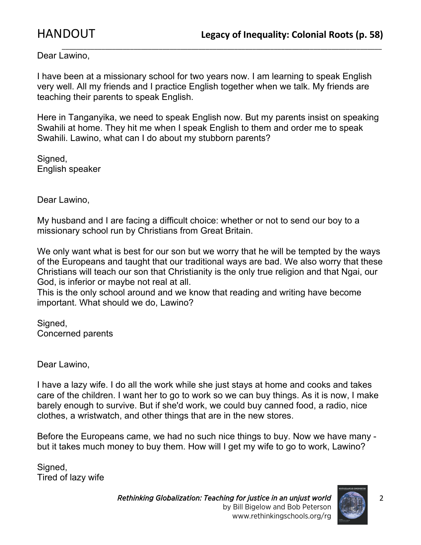Dear Lawino,

I have been at a missionary school for two years now. I am learning to speak English very well. All my friends and I practice English together when we talk. My friends are teaching their parents to speak English.

 $\_$  ,  $\_$  ,  $\_$  ,  $\_$  ,  $\_$  ,  $\_$  ,  $\_$  ,  $\_$  ,  $\_$  ,  $\_$  ,  $\_$  ,  $\_$  ,  $\_$  ,  $\_$  ,  $\_$  ,  $\_$  ,  $\_$  ,  $\_$  ,  $\_$  ,  $\_$  ,  $\_$  ,  $\_$  ,  $\_$  ,  $\_$  ,  $\_$  ,  $\_$  ,  $\_$  ,  $\_$  ,  $\_$  ,  $\_$  ,  $\_$  ,  $\_$  ,  $\_$  ,  $\_$  ,  $\_$  ,  $\_$  ,  $\_$  ,

Here in Tanganyika, we need to speak English now. But my parents insist on speaking Swahili at home. They hit me when I speak English to them and order me to speak Swahili. Lawino, what can I do about my stubborn parents?

Signed, English speaker

Dear Lawino,

My husband and I are facing a difficult choice: whether or not to send our boy to a missionary school run by Christians from Great Britain.

We only want what is best for our son but we worry that he will be tempted by the ways of the Europeans and taught that our traditional ways are bad. We also worry that these Christians will teach our son that Christianity is the only true religion and that Ngai, our God, is inferior or maybe not real at all.

This is the only school around and we know that reading and writing have become important. What should we do, Lawino?

Signed, Concerned parents

Dear Lawino,

I have a lazy wife. I do all the work while she just stays at home and cooks and takes care of the children. I want her to go to work so we can buy things. As it is now, I make barely enough to survive. But if she'd work, we could buy canned food, a radio, nice clothes, a wristwatch, and other things that are in the new stores.

Before the Europeans came, we had no such nice things to buy. Now we have many but it takes much money to buy them. How will I get my wife to go to work, Lawino?

Signed, Tired of lazy wife

> *Rethinking Globalization: Teaching for justice in an unjust world* by Bill Bigelow and Bob Peterson www.rethinkingschools.org/rg